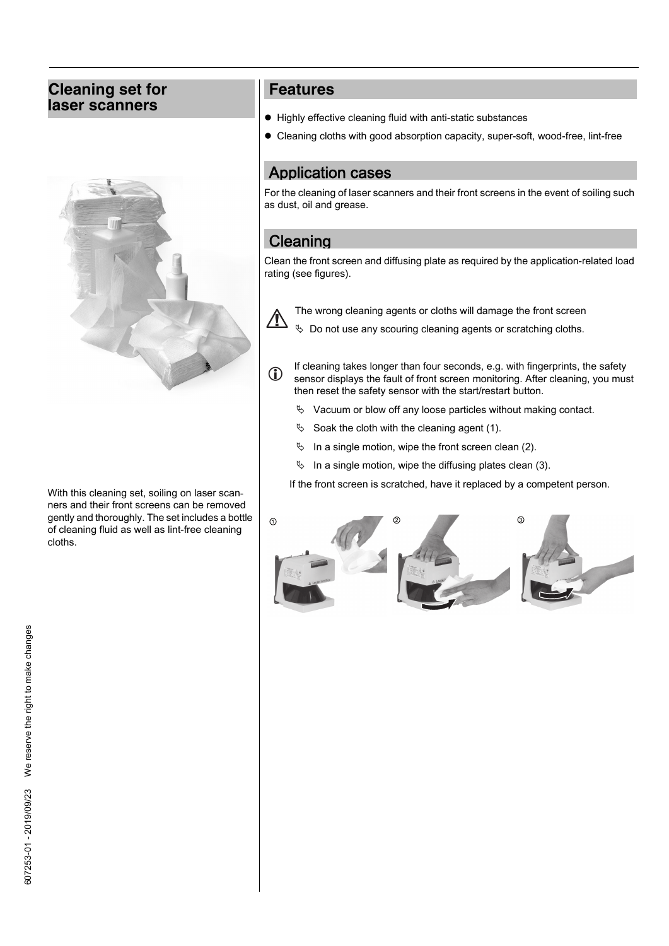#### **Cleaning set for laser scanners**



With this cleaning set, soiling on laser scanners and their front screens can be removed gently and thoroughly. The set includes a bottle of cleaning fluid as well as lint-free cleaning cloths.

#### **Features**

- Highly effective cleaning fluid with anti-static substances
- Cleaning cloths with good absorption capacity, super-soft, wood-free, lint-free

#### Application cases

For the cleaning of laser scanners and their front screens in the event of soiling such as dust, oil and grease.

#### **Cleaning**

Clean the front screen and diffusing plate as required by the application-related load rating (see figures).

 $\bigwedge$ 

The wrong cleaning agents or cloths will damage the front screen

 $\%$  Do not use any scouring cleaning agents or scratching cloths.

If cleaning takes longer than four seconds, e.g. with fingerprints, the safety sensor displays the fault of front screen monitoring. After cleaning, you must then reset the safety sensor with the start/restart button.  $\mathbf{r}$ 

- $\%$  Vacuum or blow off any loose particles without making contact.
- $\%$  Soak the cloth with the cleaning agent (1).
- $\%$  In a single motion, wipe the front screen clean (2).
- $\%$  In a single motion, wipe the diffusing plates clean (3).

If the front screen is scratched, have it replaced by a competent person.

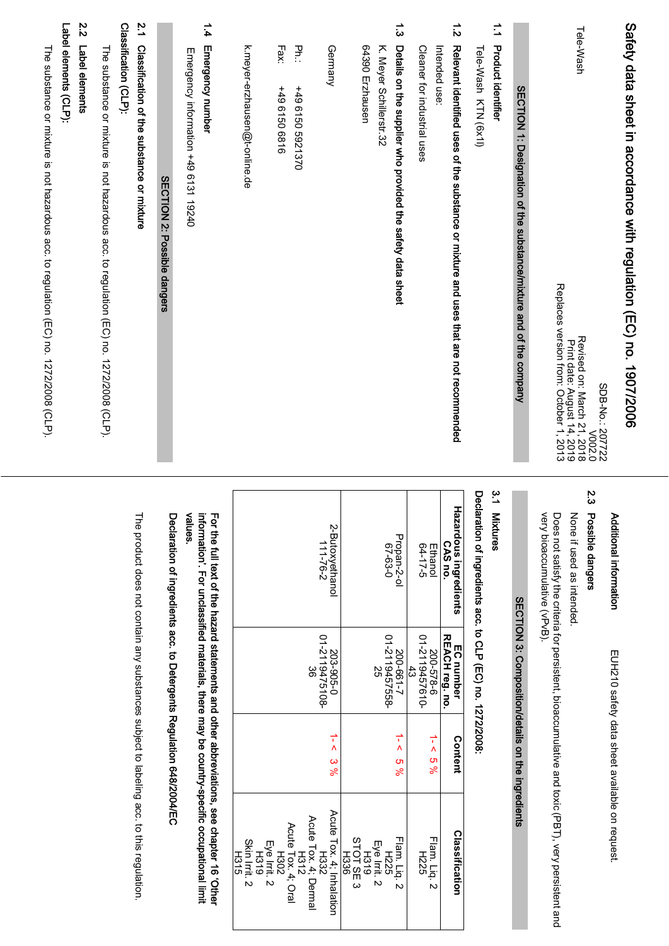| 22<br>$\frac{2}{1}$<br>Classification (CLP):<br>1.4<br>Label elements (CLP):<br>Label elements<br>Emergency number<br>Classification of the substance or mixture<br>k.meyer-erzhausen@t-online.de<br>꽁<br>64390 Erzhausen<br>Fax:<br>Germany<br>K. Meyer Schillerstr.32<br>The substance or mixture is not hazardous acc. to regulation (EC) no. 1272/2008 (CLP).<br>Emergency information +49 6131 19240<br>+49 6150 6816<br>+49 6150 5921370<br>SECTION 2: Possible dangers<br>Declaration of ingredients acc. to Detergents Regulation 648/2004/EC<br>values.<br>information'. For unclassified materials, there may be country-specific occupational limit<br>The product does not contain any substances subject to labeling acc. to this regulation.<br>For the full text of the hazard statements and other abbreviations, see chapter 16 'Other<br>2-Butoxyethanol<br>111-76-2<br>203-905-0<br>0-2119475108-<br>မ္တ<br>ပ္ပ<br>÷<br>$\lambda$<br>ာ<br>လိ<br>Acute Tox. 4; Dermal<br>H312<br>STOT SE 3<br>H336<br>Skin Irrit. 2<br>Eye Irrit. 2<br>H319<br>Eye Irrit. 2<br>H319<br><b>H302</b><br>H315 | $\vec{z}$<br>Safety data sheet in accordance with regulation (EC) no. 1907/2006<br>$\vec{L}$<br>Tele-Wash<br><b>Product identifier</b><br>Relexant identified uses of the astronomy in the and uses that are not recommented<br>Intended use:<br>Cleaner for industrial uses<br>Tele-Wash KTN (6x1l)<br>SECTION 1: Designation of the substance/mixture and of the company<br>SDB-No.: 207722<br>Revised on: March 21, 2018<br>Print date: August 14, 2019<br>Replaces version from: October 1, 2013 | $\frac{3}{1}$<br>2.3<br>Hazardous ingredients<br>Mixtures<br>Possible dangers<br>very bioaccumulative (vPvB).<br>None if used as intended<br>Additional information<br>CAS no.<br>Ethanol<br>64-17-5 | SECTION 3: Composition/details on the ingredients<br>REACH reg. no.<br>200-578-6<br>-2119457610-<br>EC number<br>$\ddot{3}$ | EUH210 safety data sheet available on request.<br>÷<br>Content<br>Λ<br><u>ဟ</u><br>ಸಿ | Does not satisfy the criteria for persistent, bioaccumulative and toxic (PBT), very persistent and<br>Classification<br>Flam. Liq. 2<br>H225 |
|--------------------------------------------------------------------------------------------------------------------------------------------------------------------------------------------------------------------------------------------------------------------------------------------------------------------------------------------------------------------------------------------------------------------------------------------------------------------------------------------------------------------------------------------------------------------------------------------------------------------------------------------------------------------------------------------------------------------------------------------------------------------------------------------------------------------------------------------------------------------------------------------------------------------------------------------------------------------------------------------------------------------------------------------------------------------------------------------------------------|------------------------------------------------------------------------------------------------------------------------------------------------------------------------------------------------------------------------------------------------------------------------------------------------------------------------------------------------------------------------------------------------------------------------------------------------------------------------------------------------------|------------------------------------------------------------------------------------------------------------------------------------------------------------------------------------------------------|-----------------------------------------------------------------------------------------------------------------------------|---------------------------------------------------------------------------------------|----------------------------------------------------------------------------------------------------------------------------------------------|
| $\vec{3}$<br>Details on the supplier who provided the safety data sheet<br>Declaration of ingredients acc. to CLP (EC) no. 1272/2008:<br>Propan-2-ol<br>67-63-0<br>200-661-7<br>01-2119457558-<br>→<br>ν<br>S<br>ಸಿ<br>Flam. Liq. 2<br>H225                                                                                                                                                                                                                                                                                                                                                                                                                                                                                                                                                                                                                                                                                                                                                                                                                                                                  |                                                                                                                                                                                                                                                                                                                                                                                                                                                                                                      |                                                                                                                                                                                                      |                                                                                                                             |                                                                                       |                                                                                                                                              |
|                                                                                                                                                                                                                                                                                                                                                                                                                                                                                                                                                                                                                                                                                                                                                                                                                                                                                                                                                                                                                                                                                                              |                                                                                                                                                                                                                                                                                                                                                                                                                                                                                                      |                                                                                                                                                                                                      |                                                                                                                             |                                                                                       |                                                                                                                                              |
|                                                                                                                                                                                                                                                                                                                                                                                                                                                                                                                                                                                                                                                                                                                                                                                                                                                                                                                                                                                                                                                                                                              |                                                                                                                                                                                                                                                                                                                                                                                                                                                                                                      |                                                                                                                                                                                                      |                                                                                                                             |                                                                                       |                                                                                                                                              |
|                                                                                                                                                                                                                                                                                                                                                                                                                                                                                                                                                                                                                                                                                                                                                                                                                                                                                                                                                                                                                                                                                                              |                                                                                                                                                                                                                                                                                                                                                                                                                                                                                                      |                                                                                                                                                                                                      |                                                                                                                             |                                                                                       |                                                                                                                                              |
|                                                                                                                                                                                                                                                                                                                                                                                                                                                                                                                                                                                                                                                                                                                                                                                                                                                                                                                                                                                                                                                                                                              |                                                                                                                                                                                                                                                                                                                                                                                                                                                                                                      |                                                                                                                                                                                                      |                                                                                                                             |                                                                                       |                                                                                                                                              |
|                                                                                                                                                                                                                                                                                                                                                                                                                                                                                                                                                                                                                                                                                                                                                                                                                                                                                                                                                                                                                                                                                                              |                                                                                                                                                                                                                                                                                                                                                                                                                                                                                                      |                                                                                                                                                                                                      |                                                                                                                             |                                                                                       | Acute Tox. 4; Inhalation<br>H332                                                                                                             |
|                                                                                                                                                                                                                                                                                                                                                                                                                                                                                                                                                                                                                                                                                                                                                                                                                                                                                                                                                                                                                                                                                                              |                                                                                                                                                                                                                                                                                                                                                                                                                                                                                                      |                                                                                                                                                                                                      |                                                                                                                             |                                                                                       | Acute Tox. 4; Oral                                                                                                                           |
|                                                                                                                                                                                                                                                                                                                                                                                                                                                                                                                                                                                                                                                                                                                                                                                                                                                                                                                                                                                                                                                                                                              |                                                                                                                                                                                                                                                                                                                                                                                                                                                                                                      |                                                                                                                                                                                                      |                                                                                                                             |                                                                                       |                                                                                                                                              |
|                                                                                                                                                                                                                                                                                                                                                                                                                                                                                                                                                                                                                                                                                                                                                                                                                                                                                                                                                                                                                                                                                                              |                                                                                                                                                                                                                                                                                                                                                                                                                                                                                                      |                                                                                                                                                                                                      |                                                                                                                             |                                                                                       |                                                                                                                                              |
|                                                                                                                                                                                                                                                                                                                                                                                                                                                                                                                                                                                                                                                                                                                                                                                                                                                                                                                                                                                                                                                                                                              |                                                                                                                                                                                                                                                                                                                                                                                                                                                                                                      |                                                                                                                                                                                                      |                                                                                                                             |                                                                                       |                                                                                                                                              |
|                                                                                                                                                                                                                                                                                                                                                                                                                                                                                                                                                                                                                                                                                                                                                                                                                                                                                                                                                                                                                                                                                                              |                                                                                                                                                                                                                                                                                                                                                                                                                                                                                                      |                                                                                                                                                                                                      |                                                                                                                             |                                                                                       |                                                                                                                                              |
|                                                                                                                                                                                                                                                                                                                                                                                                                                                                                                                                                                                                                                                                                                                                                                                                                                                                                                                                                                                                                                                                                                              | The substance or mixture is not hazardous acc. to regulation (EC) no. 1272/2008 (CLP).                                                                                                                                                                                                                                                                                                                                                                                                               |                                                                                                                                                                                                      |                                                                                                                             |                                                                                       |                                                                                                                                              |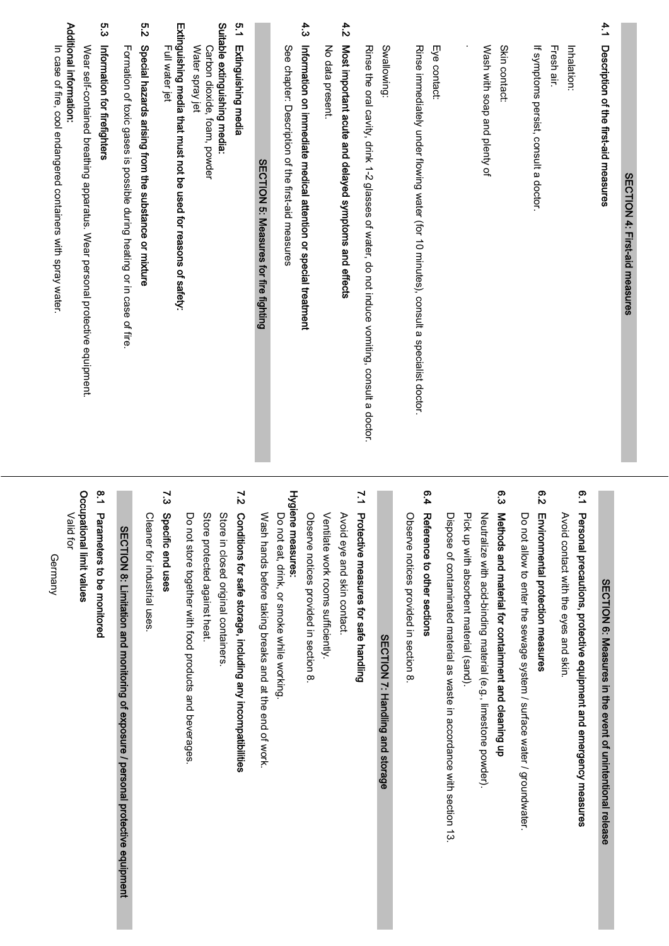### SECTION 4: First-aid measures SECTION 4: First-aid measures

# 4.<br>-Description of the first-aid measures

If symptoms persist, consult a doctor. Fresh air. Inhalation If symptoms persist, Fresh air. Inhalation: consult a doctor.

Skin contact: Skin contact:

Wash with soap and plenty of Wash with soap and plenty of

Eye contact: Eye contact:

Rinse immediately under flowing water (for 10 minutes), consult a specialist doctor. Rinse immediately under flowing water (for 10 minutes), consult a specialist doctor.

Swallowing: Swallowing:

Rinse the oral cavity, drink 1-2 glasses of water, do not induce vomiting, consult a doctor. Rinse the oral cavity, drink 1-2 glasses of water, do not induce vomiting, consult a doctor.

# 4.<br>^ Most important acute and delayed symptoms and effects

No data present No data present.

# 4.<br>ن Information on immediate medical attention or special treatment

See chapter: Description of the first-aid measures See chapter: Description of the first-aid measures

## SECTION 5: Measures for fire fighting SECTION 5: Measures for fire fighting

#### <u>ب</u><br>-Extinguishing media

#### Suitable extinguishing media: Suitable extinguishing media:

Water spray jet Carbon dioxide, foam, powder Water spray jet Carbon dioxide, foam, powder

#### Extinguishing media that must not be used for reasons of safety: Extinguishing media that must not be used for reasons of safety: Full water jet Full water jet

## <u>ত</u><br>১ Special hazards arising from the substance or mixture Special hazards arising from the substance or mixture

Formation of toxic gases is possible during heating or in case of fire Formation of toxic gases is possible during heating or in case of fire.

#### 5.3Information for firefighters Information for firefighters

Wear self-contained breathing apparatus. Wear personal protective equipment Wear self-contained breathing apparatus. Wear personal protective equipment.

#### Additional information: Additional information:

In case of fire, cool endangered containers with spray water In case of fire, cool endangered containers with spray water.

# SECTION 6: Measures in the event of unintentional release SECTION 6: Measures in the event of unintentional release

### <u>ო</u> Avoid contact with the eyes and skin Avoid contact with the eyes and skin. Personal precautions, protective equipment and emergency measures

# م.<br>م Environmental protection measures

Do not allow to enter the sewage system / surface water / groundwater. Do not allow to enter the sewage system / surface water / groundwater.

# م.<br>م Methods and material for containment and cleaning up

Dispose of contaminated material as waste in accordance with section 13. Pick up with absorbent material (sand) Neutralize with acid-binding material (e.g., limestone powder) Dispose of contaminat Pick up with absorbent material (sand). Neutralize with acid-binding material (e.g., limestone powder). ed material as waste in accordance with section 13.

#### م.<br>4 Reference to other sections

Observe notices provided in section 8 Observe notices provided in section 8.

#### SECTION 7: Handling and storage SECTION 7: Handling and storage

# $\geq$ Protective measures for safe handling

Avoid eye and skin contact. Avoid eye and skin contact.

Ventilate work rooms sufficiently. Ventilate work rooms sufficiently.

Observe notices provided in section 8 Observe notices provided in section 8.

#### Hygiene measures: Hygiene measures:

Wash hands before taking breaks and at the end of work. Do not eat, drink, or smoke while working Wash hands before taking breaks and at the end of work. Do not eat, drink, or smoke while working.

# ا<br>7. Conditions for safe storage, including any incompatibilities

Store in closed original containers Store in closed original containers.

Do not store together with food products and beverages Store protected against heat. Store protected against heat. Do not store together with food products and beverages.

#### $\tilde{c}$ Specific end uses

Cleaner for industrial uses Cleaner for industrial uses.

SECTION 8: Limitation and monitoring of exposure / personal protective equipment SECTION 8: Limitation and monitoring of exposure / personal protective equipment

Occupational limit values Occupational limit values Valid for

.<br>ــ

Parameters to be monitored

Germany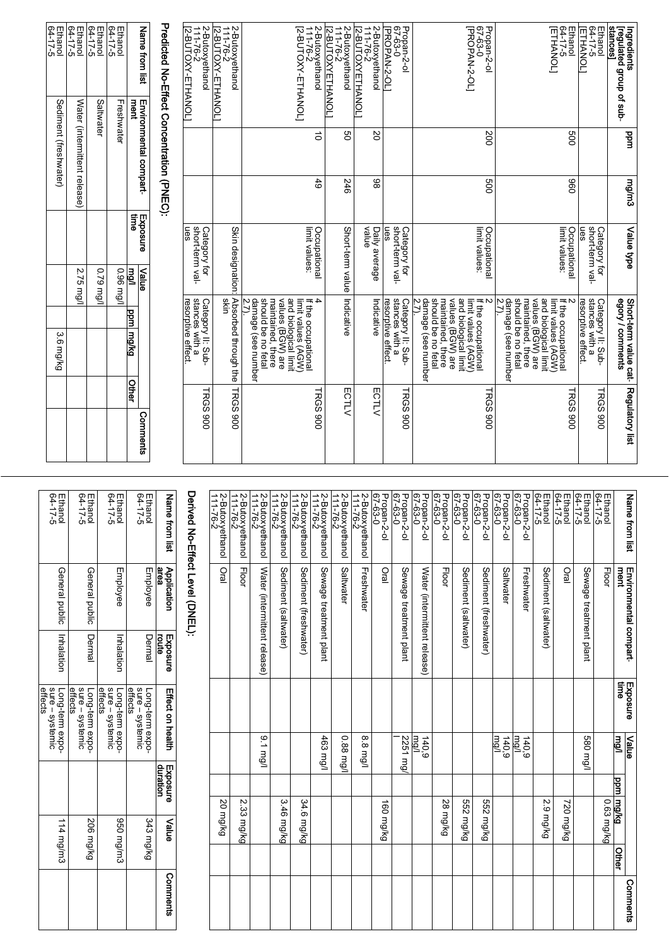|          | <b>Other</b> | <b>ppm</b> mg/kg                                                                                                                                                                     | <u>mg/l</u>                 |                                        |       |                        |                                                              |
|----------|--------------|--------------------------------------------------------------------------------------------------------------------------------------------------------------------------------------|-----------------------------|----------------------------------------|-------|------------------------|--------------------------------------------------------------|
| Comments |              |                                                                                                                                                                                      | Value                       | <b>firre</b><br>Exposure               |       | Environmental compart- | Name from list<br>ment                                       |
|          |              |                                                                                                                                                                                      |                             |                                        |       |                        | Predicted No-E#ect Concentration (PNEC);                     |
| TRGS 900 |              | stances with a<br>Category II: Sub-<br>resorptive effect.                                                                                                                            |                             | short-term val-<br>ues<br>Category for |       |                        | $2 - 92 - 111$<br>2-Butoxyethanol<br>2-BUTOXY-ETHANOL        |
| TRGS 900 |              | Absorbed through the<br>skin                                                                                                                                                         |                             | Skin designation                       |       |                        | $111 - 76 -$<br>2-Butoxyethanol<br><u>[2-BUTOXY-ETHANOL]</u> |
| TRGS 900 |              | should be no fetal<br>and biological limit<br>damage (see number<br>maintained, there<br>values (BGW) are<br>27.<br>limit values (AGW)<br>If the occupationa                         |                             | limit values:<br>Occupational          | 49    | $\vec{0}$              | $111-76-$<br>[2-BUTOXY-ETHANOL]<br>2-Butoxyethanol           |
|          | ECTLV        |                                                                                                                                                                                      | Short-term value Indicative |                                        | 246   | g                      | $-92 - 111$<br>2-Butoxyethanol<br>2-BUTOXYETHANOL            |
|          | ECTLV        | Indicative                                                                                                                                                                           |                             | value<br>Daily average                 | 86    | 20                     | $111-76-2$<br>2-Butoxyethanol<br>[2-BUTOXYETHANOL]           |
| TRGS 900 |              | stances with a<br>Category II: Sub-<br>resorptive effect                                                                                                                             |                             | short-term val-<br>Category for<br>ues |       |                        | $0 - 23 - 0$<br>Propan-2-ol<br>PROPAN-2-OL]                  |
| TRGS 900 |              | damage (see number<br>values (BGW) are<br>maintained, there<br>2.7).<br>should be no fetal<br>and biological limit<br>limit values (AGW)<br>If the occupational                      |                             | limit values:<br>Occupational          | 800   | 200                    | $0 - 29 - 03$<br>[PROPAN-2-OL]<br>Propan-2-ol                |
| TRGS 900 |              | values (BGW) are<br>maintained, there<br>naintained, there<br>2.7).<br>damage (see number<br>should be no fetal<br>and biological limit<br>limit values (AGW)<br>If the occupational |                             | limit values:<br>Occupational          | 860   | 009                    | $64 - 17 - 5$<br><b>ETHANOL</b><br>Ethanol                   |
| TRGS 900 |              | stances with a<br>resorptive effect.<br>Category II: Sub-                                                                                                                            |                             | short-term val-<br>ues<br>Category for |       |                        | $64 - 17 - 5$<br>Ethanol<br><b>[ETHANOL</b>                  |
|          |              | egory / comments<br>Short-term value cat- Regulatory list                                                                                                                            |                             | Value type                             | mg/m3 | ppm                    | stances<br><b>Tregulated group of sub-</b><br>ingredients    |

| Name from list     | Environmental compart-      |                  | Value           |           |               | Comments |
|--------------------|-----------------------------|------------------|-----------------|-----------|---------------|----------|
|                    | ment                        | Exposure<br>Lime | u®∥             | ppm mg/kg | <b>Offiel</b> |          |
| Ethanol<br>64-17-5 | Freshwater                  |                  | 0.96 mg/l       |           |               |          |
| Ethanol<br>Ethanol | <b>Saltwater</b>            |                  | <b>Ngm 67.0</b> |           |               |          |
| Ethanol<br>Ethanol | Vater (intermittent release |                  | 2.75 mg/l       |           |               |          |
| Ethanol<br>64-17-5 | Sediment (freshwater)       |                  |                 | 3.6 mg/kg |               |          |

| Name from list                      | Environmental compart-<br>ment  | Exposure<br>fine | Value<br>mg/l | pylom mqq  | Other | Comments |
|-------------------------------------|---------------------------------|------------------|---------------|------------|-------|----------|
| Ethanol<br>Ethanol                  | <b>Floor</b>                    |                  |               | 0.63 mg/kg |       |          |
| Ethanol<br>64-17-5                  | Sewage treatment plant          |                  | l/pm 085      |            |       |          |
| Ethanol<br>64-17-5                  | Oral                            |                  |               | 720 mg/kg  |       |          |
| Ethanol<br>64-17-5                  | Sediment (saltwater)            |                  |               | 2.9 mg/kg  |       |          |
| Propan-2-ol<br>67-63-0              | Freshwater                      |                  | mg/l<br>140,9 |            |       |          |
| Propan-2-ol<br>67-63-0              | Saltwater                       |                  | mg/l<br>140,9 |            |       |          |
| $67 - 63 - 0$<br>Propan-2-ol        | Sediment (freshwater)           |                  |               | 552 mg/kg  |       |          |
| $67 - 63 - 0$<br>Propan-2-ol        | Sediment (saltwater)            |                  |               | 552 mg/kg  |       |          |
| Propan-2-ol<br>67-63-0              | <b>Floor</b>                    |                  |               | 28 mg/kg   |       |          |
| Propan-2-ol<br>67-63-0              | Water (intermittent release)    |                  | mg/l<br>140,9 |            |       |          |
| $67 - 63 - 0$<br>Propan-2-ol        | Sewage treatment plant          |                  | 2251 mg/      |            |       |          |
| Propan-2-ol<br>67-63-0              | Ora                             |                  |               | 160 mg/kg  |       |          |
| 2-Butoxyethanol<br>111-76- <u>2</u> | Freshwater                      |                  | 8.8 mg/l      |            |       |          |
| 2-Butoxyethanol<br>111-76-2         | Saltwater                       |                  | 0.88 mg/l     |            |       |          |
| 2-Butoxyethanol<br>111-7 <u>6-2</u> | Sewage treatment plant          |                  | 163 mg/l      |            |       |          |
| 2-Butoxyethanol<br>111-76-2         | Sediment (freshwater)           |                  |               | 34.6 mg/kg |       |          |
| 2-Butoxyethanol<br>111-76-2         | Sediment (saltwater)            |                  |               | 3.46 mg/kg |       |          |
| 2-Butoxyethanol<br>111 <u>-76-2</u> | Water (intermittent release)    |                  | 9.1 mg/l      |            |       |          |
| 2-Butoxyethanol<br>111-76-2         | <b>Floor</b>                    |                  |               | 2.33 mg/kg |       |          |
| 2-Butoxyethanol<br>111-76-2         | Ora                             |                  |               | 20 mg/kg   |       |          |
|                                     | Derived No-Effect Level (DNEL): |                  |               |            |       |          |

| Name flom list           | Application<br>area     | Exposure<br>coute | Effect on health                              | Exposure<br>duration | Malue     | Comments |
|--------------------------|-------------------------|-------------------|-----------------------------------------------|----------------------|-----------|----------|
| $64 - 17 - 5$<br>Ethanol | Employee                | Dermal            | sure - systemic<br>ettects<br>Long-term expo- |                      | 343 mg/kg |          |
| 64-17-5<br>Ethanol       | Employee                | Inhalation        | Long-term expo-<br>sure - systemic<br>effects |                      | 950 mg/m3 |          |
| $64 - 17 - 5$<br>Ethanol | General public   Dermal |                   | effects<br>sure - systemic<br>Long-term expo- |                      | 206 mg/kg |          |
| 64-17-5<br>Ethanol       | General public          | Inhalation        | Long-term expo-<br>effects<br>sure - systemic |                      | 114 mg/m3 |          |
|                          |                         |                   |                                               |                      |           |          |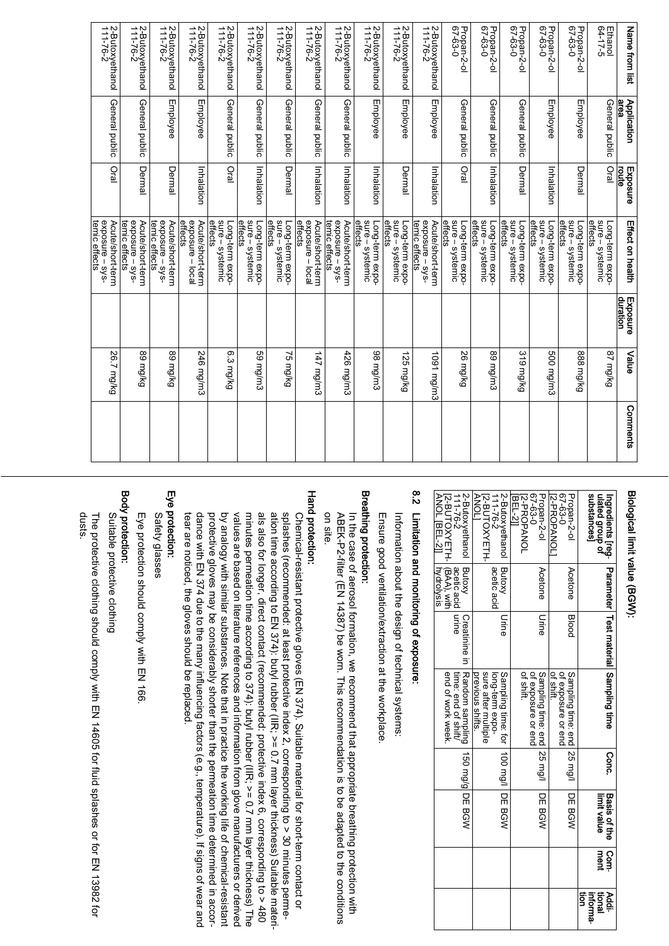| Name from list              | area<br>Application | Exposure<br>route | Effect on health                                     | Exposure<br><u>duration</u> | Value      | Comments |
|-----------------------------|---------------------|-------------------|------------------------------------------------------|-----------------------------|------------|----------|
| Ethanol<br>64-17-5          | General public      | <b>Dral</b>       | <u>effects</u><br>sure - systemic<br>Long-term expo- |                             | By/Bw 28   |          |
| Propan-2-ol<br>67-63-0      | Employee            | Dermal            | sure - systemic<br>effects<br>Long-term expo         |                             | Bylgm 888  |          |
| Propan-2-ol<br>67-63-0      | Employee            | Inhalation        | sure - systemic<br>effects<br>Long-term expo-        |                             | 500 mg/m3  |          |
| Propan-2-ol<br>67-63-0      | General public      | Dermal            | sure - systemic<br>effects<br>Long-term expo-        |                             | 319 mg/kg  |          |
| Propan-2-ol<br>67-63-0      | General public      | Inhalation        | sure - systemic<br>effects<br>Long-term expo-        |                             | 89 mg/m3   |          |
| $0 - 53 - 0$<br>Propan-2-ol | General public      | Oral              | sure - systemic<br>effects<br>Long-term expo-        |                             | 26 mg/kg   |          |
| 2-Butoxyethanol<br>111-76-2 | Employee            | Inhalation        | exposure - sys-<br>temic effects<br>Acute/short-term |                             | 1091 mg/m3 |          |
| 2-Butoxyethanol<br>111-76-2 | Employee            | Dermal            | sure - systemic<br>effects<br>Long-term expo-        |                             | 125 mg/kg  |          |
| 2-Butoxyethanol<br>111-76-2 | Employee            | Inhalation        | sure - systemic<br>effects<br>Long-term expo-        |                             | 98 mg/m3   |          |
| 2-Butoxyethanol<br>111-76-2 | General public      | Inhalation        | temic effects<br>exposure – sys-<br>Acute/short-term |                             | 426 mg/m3  |          |
| 2-Butoxyethanol<br>111-76-2 | General public      | Inhalation        | exposure - local<br>effects<br>Acute/short-term      |                             | 147 mg/m3  |          |
| 2-Butoxyethanol<br>111-76-2 | General public      | Dermal            | sure - systemic<br>effects<br>Long-term expo-        |                             | 75 mg/kg   |          |
| 2-Butoxyethanol<br>111-76-2 | General public      | Inhalation        | sure - systemic<br>effects<br>Long-term expo-        |                             | 59 mg/m3   |          |
| 2-Butoxyethanol<br>111-76-2 | General public      | Oral              | sure - systemic<br>effects<br>Long-term expo-        |                             | 6.3 mg/kg  |          |
| 2-Butoxyethanol<br>111-76-2 | Employee            | Inhalation        | exposure – local<br>effects<br>Acute/short-term      |                             | 246 mg/m3  |          |
| 2-Butoxyethanol<br>111-76-2 | Employee            | Dermal            | exposure – sys-<br>temic effects<br>Acute/short-term |                             | By/Bw 68   |          |
| 2-Butoxyethanol<br>111-76-2 | General public      | Dermal            | temic effects<br>exposure – sys-<br>Acute/short-term |                             | By/Bw 68   |          |
| 2-Butoxyethanol<br>111-76-2 | General public      | Oral              | temic effects<br>exposure – sys-<br>Acute/short-term |                             | 26.7 mg/kg |          |

#### Biological limit value (BGW): Biological limit value (BGW):

| sabstances<br>ulated group of<br>Ingredients [reg-   Parameter   Test material   Sampling time |                                      |               |                                                                 | Conc.           | <b>Basis of the</b><br>limit value | Com<br>ment | lional<br>Addi-<br>ទ្វី<br>morma- |
|------------------------------------------------------------------------------------------------|--------------------------------------|---------------|-----------------------------------------------------------------|-----------------|------------------------------------|-------------|-----------------------------------|
| <b>[2-PROPANOL]</b><br>$0 - 2 - 0$<br>Propan-2-ol                                              | Acetone                              | Blood         | of shift<br>Sampling time: end 25 mg/l<br>ot exposure or end    |                 | DE BGW                             |             |                                   |
| [2-PROPANOL<br>$0 - 2 - 0$<br>Propan-2-ol                                                      | Acetone                              | Urine         | Sampling time: end   25 mg/l<br>of shift.<br>ot exposure or end |                 | DE BGW                             |             |                                   |
| [BEL-2]                                                                                        |                                      |               |                                                                 |                 |                                    |             |                                   |
| $111 - 76 - 2$<br>2-Butoxyethanol                                                              | <b>Butoxy</b><br>acetic acid         | Urine         | Sampling time: for   100 mg/l DE BGW<br>long-term expo-         |                 |                                    |             |                                   |
| <b>ANOL]</b><br>P-BUTOXYETH-                                                                   |                                      |               | sure after multiple<br>previous shifts.                         |                 |                                    |             |                                   |
| $111-76-2$<br>2-Butoxyethanol                                                                  | <b>Butoxy</b><br>acetic acid   urine | Creatinine in | Random sampling<br>time: end of shift/                          | 150 mg/g DE BGW |                                    |             |                                   |
| ANOL [BEL-2]]<br>I2-BUTOXYETH- (BAA), with                                                     | <b>hydrolysis</b>                    |               | end of work week                                                |                 |                                    |             |                                   |
|                                                                                                |                                      |               |                                                                 |                 |                                    |             |                                   |

# .<br>م Limitation and monitoring of exposure:

Information about the design of technical systems: Information about the design of technical systems:

Ensure good ventilation/extraction at the workplace Ensure good ventilation/extraction at the workplace.

#### Breathing protection: Breathing protection:

ABEK-P2-filter (EN 14387) be worn. This recommendation is to be adapted to the conditions<br>on site.  $AB$ EK- $B$ -filter (EN 14387) be worn. This recommendation is to be adapted to the conditions In the case of aerosol formation, we recommend that appropriate breathing protection with In the case of aerosol formation, we recommend that appropriate breathing protection with

#### Hand protection: Hand protection:

ation time according to EN 374): butyl rubber (IIR; >= 0.7 mm layer thickness) Suitable materi by analogy with similar substances. Note that in practice the working life of chemical-resistant values are based on literature references and information from glove manufacturers or derived als also for longer, direct contact (recommended: protective index 6, corresponding to > 480 splashes (recommended: at least protective index 2, corresponding to > 30 minutes perme-Chemical-resistant protective gloves (EN 374). Suitable material for short-term contact or tear are noticed, the gloves should be replaced tear are noticed, the gloves should be replaced. dance with EN 374 due to the many influencing factors (e.g., temperature). If signs of wear and dance with EN 374 due to the many influencing factors (e.g., temperature). If signs of wear and protective gloves may be considerably shorter than the permeation time determined in accorvalues are based on literature references and information from glove manufacturers or derived minutes permeation time according to 374): butyl rubber (IIR; >= 0.7 mm layer thickness) The als also for longer, direct contact (recommended: protective index 6, corresponding to > 480 ation time a cocording to  $E \times 2K$ , butyl rubber (IIR;  $\lambda = 0.7$  mm layer thickness). splashes (recommended: at least protective index 2, corresponding to > 30 minutes permeChemical-resistant protective gloves (EN 374). Suitable material for short-term contact or protective gloves may be considerably shorter than the permeation time determined in accorby analogy with similar substances. Note that in practice the working life of chemical-resistant minutes permeation time according to 374): butyl rubber (IIR; >= 0.7 mm layer thickness) The -

#### Eye protection: Eye protection: Safety glasses

Eye protection should comply with EN 166 Safety glasses Eye protection should comply with EN 166.

#### **Body protection:** Body protection:

Suitable protective clothing Suitable protective clothing

dusts. The protective clothing should comply with EN 14605 for fluid splashes or for EN 13982 for The protective clothing should c omply with EN 14605 for fluid splashes or for EN 13982 for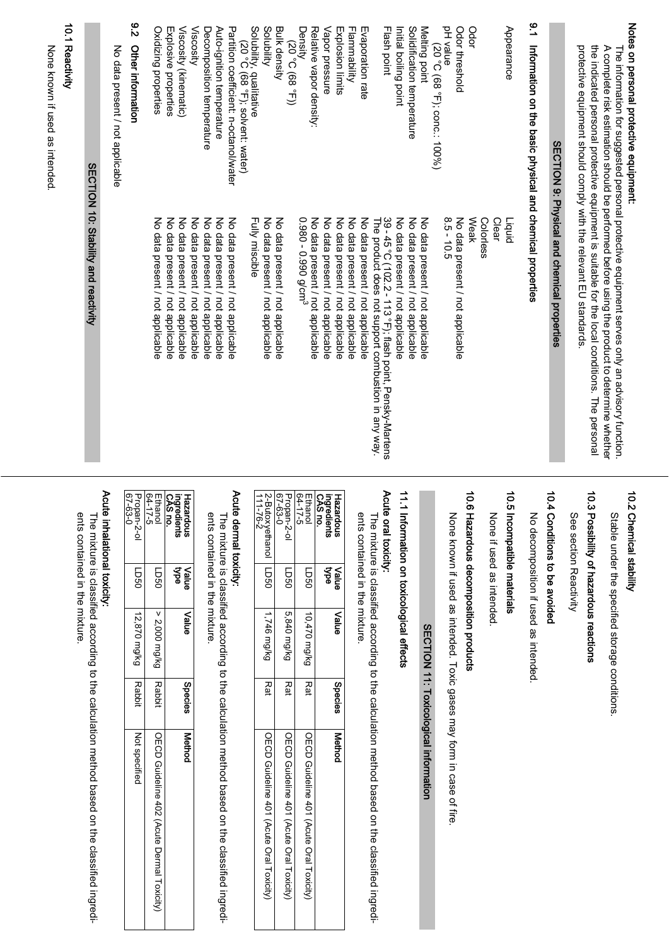| SECTION 10: Stability and reactivity                     |                                                                            |
|----------------------------------------------------------|----------------------------------------------------------------------------|
|                                                          | No data present / not applicable                                           |
|                                                          | $\frac{8}{2}$<br>Other information                                         |
| No data present / not applicable                         | Oxidizing properties                                                       |
| No data present / not applicable                         | Explosive properties                                                       |
| No data present / not applicable                         | Viscosity (kinematic)                                                      |
| No data present / not applicable                         | Viscosity                                                                  |
| No data present / not applicable                         | Decomposition temperature                                                  |
| No data present / not applicable                         | Auto-ignition temperature                                                  |
| No data present / not applicable                         | Partition coefficient: n-octanol/water                                     |
|                                                          | Solubility, qualitative<br>(20 °C (68 °F); solvent: water)                 |
| Fully miscible                                           |                                                                            |
| No data present / not applicable                         | Solubility                                                                 |
| No data present / not applicable                         | <b>Bulk density</b>                                                        |
|                                                          | $(20^{\circ}$ C (68 $^{\circ}$ F))                                         |
| 0.980 - 0.990 g/cm <sup>3</sup>                          | Density                                                                    |
| No data present / not applicable                         | Relative vapor density:                                                    |
| No data present / not applicable                         | Vapor pressure                                                             |
| No data present / not applicable                         | Explosion limits                                                           |
| No data present / not applicable                         | Flammability                                                               |
| No data present / not applicable                         | Evaporation rate                                                           |
| The product does not support combustion in any way.      |                                                                            |
| 39 - 45 °C (102.2 - 113 °F); flash point, Pensky-Martens | Flash point                                                                |
| No data present / not applicable                         | Initial boiling point                                                      |
| No data present / not applicable                         | Solidification temperature                                                 |
| No data present / not applicable                         | Melting point                                                              |
|                                                          | (20 °C (68 °F); conc.: 100%)                                               |
| $8.5 - 10.5$                                             | pH value                                                                   |
| No data present / not applicable                         | Odor threshold                                                             |
| Weak                                                     | Odor                                                                       |
| Colorless                                                |                                                                            |
| <b>Clear</b>                                             |                                                                            |
| Liquid                                                   | Appearance                                                                 |
|                                                          | $\frac{1}{2}$<br>Information on the basic physical and chemical properties |
| SECTION 9: Physical and chemical properties              |                                                                            |
|                                                          |                                                                            |
|                                                          | protective equipment should comply with the relevant EU standards.         |

## 10.1 Reactivity

None known if used as intended. None known if used as intended.

Acute inhalational toxicity:

Acute inhalational toxicity:

ents contained in the mixture. ents contained in the mixture. The mixture is classified according to the calculation method based on the classified ingredi-The mixture is classified according to the calculation method based on the classified ingredi

#### 10.2 Chemical stability

Notes on personal protective equipment:

Notes on personal protective equipment:

The information for suggested personal protective equipment serves only an advisory function. A complete risk estimation should be performed before using the product to determine whether the indicated personal protective equipment is suitable for the local conditions. The personal

The information for suggested personal protective equipment serves only an advisory function.

A complete risk estimation should be performed before using the product to determine whether the indicated personal protective equipment is suitable for the local conditions. The personal

Stable under the specified storage conditions. Stable under the specified storage conditions.

## **ات**<br>3 Possibility of hazardous reactions

See section Reactivity See section Reactivity

#### 10.4 Conditions to be avoided

No decomposition if used as intended. No decomposition if used as intended.

#### 10.5 Incompatible materials

None if used as intended None if used as intended.

# 10.6 Hazardous decomposition products

None known if used as intended. Toxic gases may form in case of fire None known if used as intended. Toxic gases may form in case of fire.

# SECTION 11: Toxicological information SECTION 11: Toxicological information

## 11.1 Information on toxicological effects

#### Acute oral toxicity: Acute oral toxicity:

ents contained in the mixture. ents contained in the mixture. The mixture is classified according to the calculation method based on the classified ingredi-The mixture is classified according to the calculation method based on the classified ingredi

| <b>Hazardous</b>                       | Value       | euls                 | Species | <b>Method</b>                            |
|----------------------------------------|-------------|----------------------|---------|------------------------------------------|
| CAS no.<br>ngredient                   | ಕ್ಷ         |                      |         |                                          |
| $64 - 17 - 5$<br>Ethano                | <b>DSD1</b> | 10,470 mg/kg Rat     |         | OECD Guideline 401 (Acute Oral Toxicity) |
| $0 - 2 - 0$<br>Propan-2-ol             | <b>UD50</b> | $5.840$ mg/kg Fat    |         | OECD Guideline 401 (Acute Oral Toxicity) |
| 2-Butoxyethanol LD50<br>$111 - 76 - 2$ |             | 1,746 mg/kg<br>  Rat |         | OECD Guideline 401 (Acute Oral Toxiciy)  |

#### Acute dermal toxicity: Acute dermal toxicity:

Hazardous<br>Ingredients<br>CAS no. ingredients Hazardous

Ethanol<br>64-17-5

Propan-2-ol<br>67-63-0

Propan-2-ol LD50

0907 **DSO** 

12,870 mg/kg 12,870 mg/kg

Rabbit

Not specified Not specified Ethanol LD50

 $> 2,000$  mg/kg > 2,000 mg/kg

Rabbit

OECD Guideline 402 (Acute Dermal Toxicity) OECD Guideline 402 (Acute Dermal Toxicity) Nalue<br>eulse

Value Value

Value

Species

Method

ents contained in the mixture. ents contained in the mixture. The mixture is classified according to the calculation method based on the classified ingredi The mixture is classified according to the calculation method based on the classified ingredi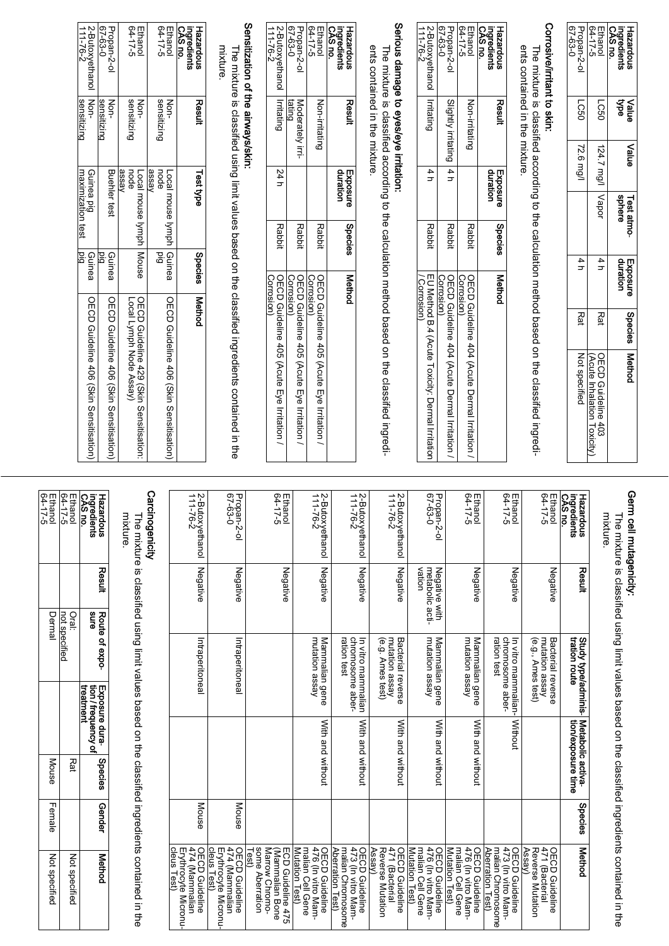| <b>Hazardous</b><br>ngredients<br>CAS no. | spe<br>Value | Value              | Test atmo-<br>sphere | Exposure<br>duration | Species   Method |                                               |
|-------------------------------------------|--------------|--------------------|----------------------|----------------------|------------------|-----------------------------------------------|
| Ethano<br>$64 - 17 - 5$                   | <b>LC50</b>  | 124.7 mg/l   Vapor |                      | $\frac{4}{L}$        | Rat              | OECD Guideline 403<br>Acute Inhalation Toxici |
| Propan-2-ol<br>67-63-0                    | <b>LC50</b>  | 72.6 mg/           |                      | 4 H                  | Rat              | Not specified                                 |

#### Corrosive/irritant to skin: Corrosive/irritant to skin:

ents contained in the mixture. The mixture is classified according to the calculation method based on the classified ingredients contained in the mixture. The mixture is classified according to the calculation method based on the classified ingredi

| CAS no.<br><b>Hazardous</b><br>ingredients | Result                    | duration<br>Exposure | Species       | Method                                                                 |
|--------------------------------------------|---------------------------|----------------------|---------------|------------------------------------------------------------------------|
| $6 + 17 - 5$<br>Ethano                     | Non-irritating            |                      | <b>Rabbit</b> | OECD Guideline 404 (Acute Dermal Irritation<br>Corrosion               |
| $0 - 23 - 0$<br>Propan-2-ol                | Slightly irritating   4 h |                      | <b>Rabbit</b> | OECD Grideline 404 (Accle Derman Irrittion<br>Corrosion                |
| 2-Butoxyethanol   Irritating<br>$111-76-2$ |                           |                      | <b>Rabbit</b> | EO Method B. 4 (Acrite Toxicity: Dermal Irritation<br><b>Corrosion</b> |

# Serious damage to eyes/eye irritation:

The mixture is classified according to the calculation method based on the classified ingredi**Serious damage to eyes/eye irritation:**<br>The mixture is classified according to the calculation method based on the classified ingredi-<br>ents contained in the mixture.

ents contained in the mixture.

| <b>Hazardous</b><br>CAS no.<br>ngredients | <b>Resul</b>               | duration<br>Exposure | Species       | Method                                                   |
|-------------------------------------------|----------------------------|----------------------|---------------|----------------------------------------------------------|
| $64 - 17 - 5$<br>Ethano                   | Non-irritating             |                      | <b>Rabbit</b> | Corrosion)<br>OECD Guideline 405 (Acute Eye Irritation   |
| $0 - 89 - 29$<br>Propan-2-ol              | tating<br>Moderately irri- |                      | <b>Rabbit</b> | <b>Corrosion</b><br>OECD Quideline 405 (Accte myellation |
| 2-Butoxyethanol<br>$111-76-2$             | Irritating                 | 4 tZ                 | <b>Rabbit</b> | Corrosion<br>OECD Guideline 405 (Acute Eye Irritation    |

#### Sensitization of the airways/skin: Sensitization of the airways/skin:

mixture. The mixture is classified using limit values based on the classified ingredients contained in the The mixture is classified using limit values based on the classified ingredients contained in the

| CAS no.<br><b>Hazardous</b><br>ingredients | Result              | <b>Test type</b>                 | Species   | Nethod                                   |
|--------------------------------------------|---------------------|----------------------------------|-----------|------------------------------------------|
| $5 - 11 - 5$<br>Ethanol                    | prizitizing<br>Non- | node<br>Local mouse lymph Guinea | 6d        | OECD Grideline 406 (Skin Sensitisation)  |
|                                            |                     | vesse                            |           |                                          |
| Ethano                                     | Non-                | Local mouse lymph   Mouse        |           | OECD Quideline 429 (Skin Sensitisation:  |
| $64 - 17 - 5$                              | sensitizing         | node                             |           | Local Lymph Node Assay)                  |
|                                            |                     | Aesse                            |           |                                          |
| Propan-2-ol                                | Noh-                | <b>Buehler test</b>              | Guinea    | OECD Quideline 406 (Skin Sensitisation)  |
| $0 - 29 - 0$                               | sensitizing         |                                  | pıg       |                                          |
| 2-Butoxyethanol                            | Non-                | Guinea pig<br>maximization test  | Guinea    | OECD Goriderine 406 (Skin Sensitisation) |
| $111-76-2$                                 | sensitizing         |                                  | bid<br>Di |                                          |

# Germ cell mutagenicity:

The mixture is classified using limit values based on the classified ingredients contained in the **Germ cell mutagenicity:**<br>The mixture is classified using limit values based on the classified ingredients contained in the<br>mixture.

| 2-Butoxyethanol<br>111-76-2<br>Negative                                 | Propan-2-ol<br>  67-63-0<br>Negative                                            | Ethanol<br>64-17-5<br>Negative                                                     | 2-Butoxyethanol<br>111-76-2<br>Negative                                    | 2-Butoxyethanol<br>111-76-2<br>Negative                                       | 2-Butoxyethanol<br>111-76-2<br>Negative                        | $67 - 63 - 0$<br>Propan-2-ol<br>vation<br>Negative with<br>metabolic acti- | Ethanol<br>64-17-5<br>Negative                                                     | Ethanol<br>64-17-5<br>Negative                                                | Ethanol<br>64-17-5<br>Negative                                 | ingredients<br>CAS no.<br>Hazardous<br>Result |  |
|-------------------------------------------------------------------------|---------------------------------------------------------------------------------|------------------------------------------------------------------------------------|----------------------------------------------------------------------------|-------------------------------------------------------------------------------|----------------------------------------------------------------|----------------------------------------------------------------------------|------------------------------------------------------------------------------------|-------------------------------------------------------------------------------|----------------------------------------------------------------|-----------------------------------------------|--|
| Intraperitoneal                                                         | Intraperitoneal                                                                 |                                                                                    | Mammalian gene<br>mutation assay                                           | chromosome aber-<br>ration test<br>In vitro mammalian                         | (e.g. Ames test)<br>mutation assay<br>Bacterial reverse        | mutation assay<br>Mammalian gene                                           | mutation assay<br>Mammalian gene                                                   | chromosome aber-<br>ration test<br>In vitro mammalian-                        | mutation assay<br>Bacterial reverse<br>(e.g., Ames test)       | tration route<br>Study type/adminis-          |  |
|                                                                         |                                                                                 |                                                                                    | With and without                                                           | With and without                                                              | With and without                                               | With and without                                                           | With and without                                                                   | <b>Without</b>                                                                |                                                                | Metabolic activa-<br>tion/exposure time       |  |
| Mouse                                                                   | Mouse                                                                           |                                                                                    |                                                                            |                                                                               |                                                                |                                                                            |                                                                                    |                                                                               |                                                                | <b>Species</b>                                |  |
| 474 (Mammalian<br>OECD Guideline<br>cleus Test)<br>Erythrocyte Micronu- | 474 (Mammalian<br>cleus Test)<br>OECD Guideline<br>Erythr <u>o</u> cyte Micronu | some Aberration<br>Marrow Chromo-<br>(Mammalian Bone<br>ECD Guideline 475<br>Test) | 476 (In vitro Mam-<br>Mutation Test)<br>malian Cell Gene<br>OECD Guideline | 473 (In vitro Mam-<br>OECD Guideline<br>Aberration Test)<br>malian Chromosome | 471 (Bacterial<br>OECD Guideline<br>Reverse Mutation<br>Assay) | 476 (In vitro Mam-<br>OECD Guideline<br>Mutation Test)<br>malian Cell Gene | 476 (In vitro Mam-<br>OECD Guideline<br><u>Mutation T</u> est)<br>malian Cell Gene | 473 (In vitro Mam-<br>malian Chromosome<br>OECD Guideline<br>Aberration Test) | 471 (Bacterial<br>Assay)<br>Reverse Mutation<br>OECD Guideline | <b>Method</b>                                 |  |

mixture.

| <b>Hazardous</b><br>ingredients<br>CAS no. | Result | Route of expo-<br>eure  | Exposure dura- Species<br>Ireatmen<br>tion / frequency or |       | Gender | Method        |
|--------------------------------------------|--------|-------------------------|-----------------------------------------------------------|-------|--------|---------------|
| $64 - 17 - 5$<br>Ethanoi                   |        | Oral:<br>not specifier. |                                                           | Rat   |        | Not specified |
| $64 - 17 - 5$<br>Ethano                    |        | Dermal                  |                                                           | Mouse | Female | Not specified |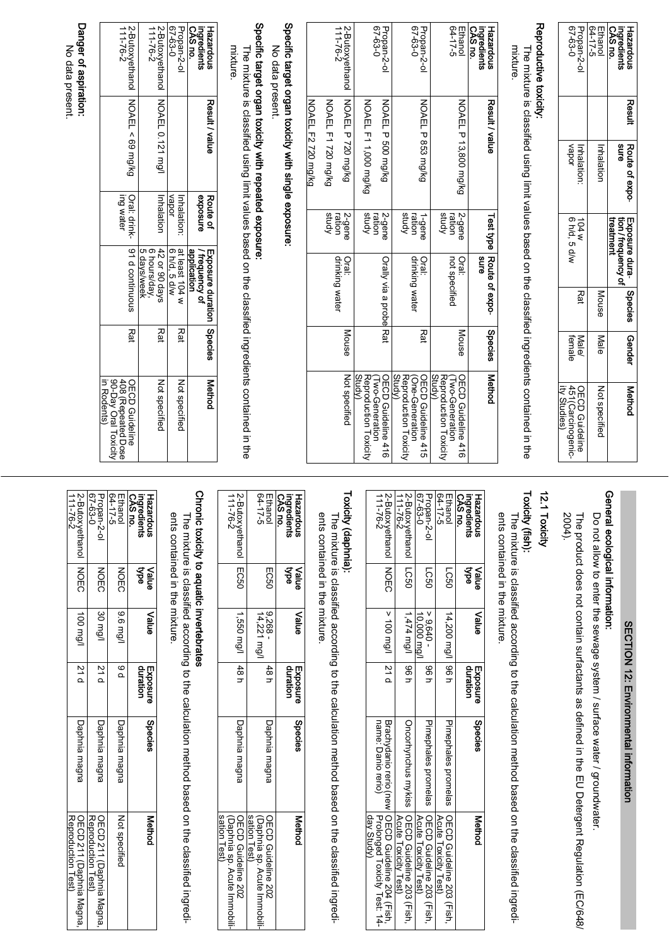| CAS no<br><b>Hazardous</b><br>ngredient: | <b>Resul</b> | Route of expo-<br>eure | Exposure dura-<br>reatmen<br>ion/requency of | Species | Gender         | <b>Methou</b>                              |
|------------------------------------------|--------------|------------------------|----------------------------------------------|---------|----------------|--------------------------------------------|
| $64 - 17 - 5$<br>Ethano                  |              | Inhalation.            |                                              | Mouse   | Male           | Not specified                              |
| Propan-2-ol<br>  67-63-0                 |              | vapor<br>Inhalation    | 6 h/d, 5 d/w<br>404 w                        | Rat     | temale<br>Male | <b>OECD Guideline</b><br>451(Carcinogenic- |
|                                          |              |                        |                                              |         |                | ity Studies                                |

#### Reproductive toxicity: Reproductive toxicity:

mixture. The mixture is classified using limit values based on the classified ingredients contained in the The mixture is classified using limit values based on the classified ingredients contained in the

| <b>Hazardous</b>                 | Result / value       |                  | Test type Route of expo-     | Species | <b>Method</b>                          |
|----------------------------------|----------------------|------------------|------------------------------|---------|----------------------------------------|
| CAS <sub>no.</sub><br>mgredients |                      |                  | gure                         |         |                                        |
| $64 - 17 - 5$<br>Ethanol         | NOAEL P 13,800 mg/kg | 2-gene<br>ration | <b>Dral</b><br>not specified | Mouse   | OECD Guideline 416<br>Two-Generation   |
|                                  |                      | study            |                              |         | Vbudy<br>Reproduction I oxicity        |
| $0 - 53 - 0$<br>Propan-2-ol      | NOAEL P 853 mg/kg    | ration<br>1-gene | drinking water<br>Oral.      | Rat     | OECD Guideline 415<br>cone-Generation  |
|                                  |                      | study            |                              |         | Study)<br>Reproduction I oxicity       |
| Propan-2-ol                      | NOAEL P 500 mg/kg    | 5-gene           | Orally via a probe Rat       |         | OECD Guideline 416                     |
| $0 - 29 - 09$                    |                      | ration           |                              |         | Iwo-Generation                         |
|                                  | NOAEL F1 1,000 mg/kg | study            |                              |         | <b>Study</b> )<br>Reproduction Toxichy |
| 2-Butoxyethanol                  | INOAEL P 720 mg/kg   | 2-gene           | Oral.                        | Mouse   | Not specified                          |
| $111 - 76 - 2$                   | NOAEL F1 720 mg/kg   | study<br>ration  | drinking water               |         |                                        |
|                                  | NOAEL F2 720 mg/kg   |                  |                              |         |                                        |

# Specific target organ toxicity with single exposure: Specific target organ toxicity with single exposure:

No data present. No data present.

Specific target organ toxicity with repeated exposure: Specific target organ toxicity with repeated exposure: mixture. The mixture is classified using limit values based on the classified ingredients contained in the The mixture is classified using limit values based on the classified ingredients contained in the

2-Butoxyethanol NOAEL < 69 mg/kg<br>111-76-2 111-76-2 2-Butoxyethanol NOAEL < 69 mg/kg2-Butoxyethanol<br>111-76-2 111-76-2 2-Butoxyethanol NOAEL 0.121 mg/l $\frac{\text{CAS}}{\text{Propar}}$ <br>Propan-Propan-2-ol ingredients Hazardous Result / valueNOAEL 0.121 mg/l Result / value Route of<br>exposure Inhalation:<br>vapor -ing water Oral: drinkInhalation InhalationInhalation: exposure Route of 42 or 90 days<br>6 hours/day,<br>5 days/week Exposure duration Spe<br>/ frequency of<br>application<br>at least 104 w<br>| 6 h/d, 5 d/w 91 d continuous 42 or 90 days at least 104 w application / frequency of 91 d continuous5 days/week 6 hours/day, 6 h/d, 5 d/w Exposure duration Species**Species**  RatRatOECD Guideline<br>408 (Repeated Dose<br>90-Day Oral Toxicity<br>in Rodents) Not specified Not specified 90-Day Oral Toxicity 408 (Repeated Dose Method OECD Guideline Not specified Not specified

Danger of aspiration: No data present.

# Danger of aspiration:

#### No data present

# SECTION 12: Environmental information SECTION 12: Environmental information

#### General ecological information: General ecological information:

Do not allow to enter the sewage system / surface water / groundwater. Do not allow to enter the sewage system / surface water / groundwater.

2004). The product does not contain surfactants as defined in the EU Detergent Regulation (EC/648 The product does not contain surfactants as defined in the EU Detergent Regulation (EC/648/

#### <u>12</u>.1 Toxicity

#### Toxicity (fish): Toxicity (fish):

ents contained in the mixture. ents contained in the mixture. The mixture is classified according to the calculation method based on the classified ingredi-The mixture is classified according to the calculation method based on the classified ingredi

| <b>CAS no</b><br><b>Hazardous</b><br>dredients | ed⁄a<br>Value | lalue                                 | duration<br>Exposure | Species             | Method                                                                                        |
|------------------------------------------------|---------------|---------------------------------------|----------------------|---------------------|-----------------------------------------------------------------------------------------------|
| $64 - 17 - 5$<br>Ethano                        | 595           | 14,200 mg/l 96 h                      |                      | Pimephales promelas | OECD Guideline 203 (Fish<br>Acute Toxicity Test)                                              |
| $0 - 89 - 09$<br>Propan-2-ol                   | <b>LC50</b>   | $-9.640 -$<br>10,000 mg.              | <b>4961</b>          | Pimephales promelas | OECD Guideline 203 (Fish<br>Acute Toxicity Test?                                              |
| 2-Butoxyethanol   LC50<br>$7 - 10 - 2$         |               | 1,474 mg/l 96 h                       |                      |                     | Oncorhynchus mykiss   OECD Guideline 203 (Fish<br>Acute Toxicity Test                         |
| 2-Butoxyethanol I<br>$111-76-2$                | <b>NOEC</b>   | $ 100 \text{ mJ} \cdot 1001 \leq 101$ |                      | name: Danio rerio)  | Brachydanio rerio (newl OECD Guideline 204 (Fish<br>Prolonged Toxicity Test: 14-<br>day Study |

#### Toxicity (daphnia): Toxicity (daphnia):

ents contained in the mixture ents contained in the mixture. The mixture is classified according to the calculation method based on the classified ingredi-The mixture is classified according to the calculation method based on the classified ingredi

| CAS <sub>no.</sub><br><b>Hazardous</b><br>ngredient: | <b>Palue</b><br><b>SP</b> | Malue                  | <b>Exposure</b><br>duration | Species       | Methoo                                                                |
|------------------------------------------------------|---------------------------|------------------------|-----------------------------|---------------|-----------------------------------------------------------------------|
| $64 - 17 - 5$<br>Ethano                              | EC50                      | $-8926$<br>14,221 mg/l | 48 h                        | Daphnia magna | sation Test)<br>OECD Guideline 202<br>Daphria sp. Acute Immobi        |
| 2-Butoxyethanol   EC50<br>$111 - 76 - 2$             |                           | 1,550 mg/l   48 h      |                             | Daphnia magna | OECD Guideline 202<br>sation<br>s<br>Daphnia sp. Acute Immobi<br>Test |

## Chronic toxicity to aquatic invertebrates Chronic toxicity to aquatic invertebrates

ents contained in the mixture ents contained in the mixture. The mixture is classified according to the calculation method based on the classified ingredi-The mixture is classified according to the calculation method based on the classified ingredi

| CAS no<br><b>Hazardous</b><br>ngredient | శ్ల<br>Value | Value            | Exposure<br>duration | Species       | Method                                       |
|-----------------------------------------|--------------|------------------|----------------------|---------------|----------------------------------------------|
| $64 - 17 - 5$<br>Ethanol                | NOEC         | llg.6 mg/l       | p 6 l                | Daphnia magna | Not specified                                |
| Propan-2-ol<br>Propan-2-ol              | NOEC 30 mg/l |                  | <b>21 d</b>          | Daphnia magna | OECD 211 (Daphnia Magna<br>Reproduction Test |
| 2-Butoxyethanol NOEC<br>111-76-2        |              | $100 \text{ mJ}$ | 21 d                 | Daphnia magna | OECD 211 (Daphnia Magna<br>Reproduction Test |

in Rodents)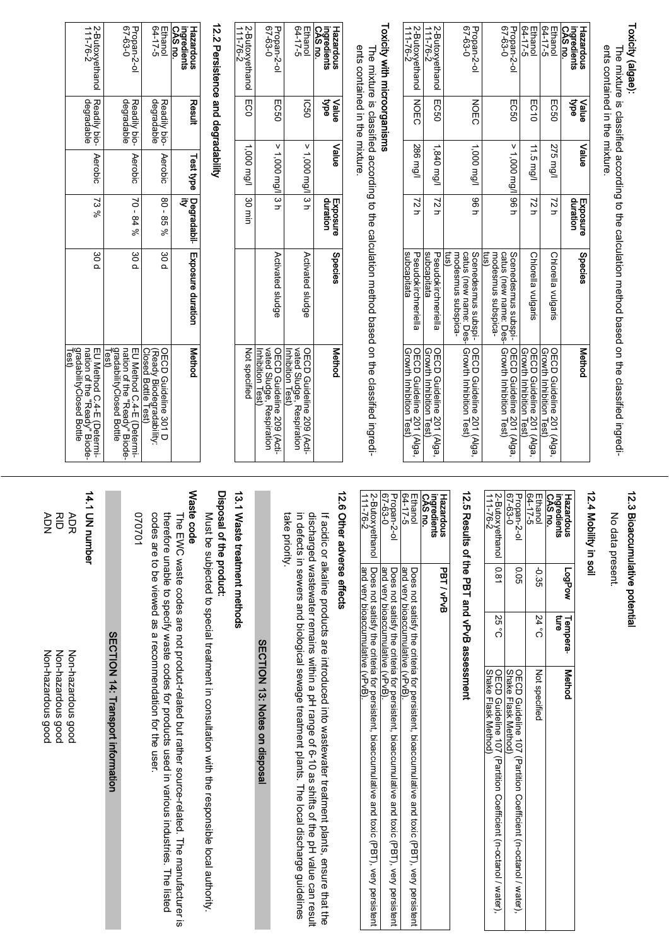#### Toxicity (algae): Toxicity (algae):

ents contained in the mixture. The mixture is classified according to the calculation method based on the classified ingredients contained in the mixture. The mixture is classified according to the calculation method based on the classified ingredi

| 54-17-5<br><b>Hazardous</b><br>Ethano<br>CAS no.<br>ngredients | 9d<br>9<br>EC50<br>Value | 275 mg/l<br>Value | 4 Z Z<br>Exposure<br>auration | Species<br>Chlorella vulgaris                                                            | Method<br>Growth Inhibition Test)<br>OECD Guideline 201 (Alga, |
|----------------------------------------------------------------|--------------------------|-------------------|-------------------------------|------------------------------------------------------------------------------------------|----------------------------------------------------------------|
| $64 - 17 - 5$<br>Ethanol                                       | EC10                     | 11.5 mg/l         | 4 Z Z                         | Chlorella vulgaris                                                                       | OECD Guideline 201 (Alga<br>Growth Intibition Test)            |
| Propan-2-ol                                                    | EC50                     | > 1,000 mg/l 96 h |                               | Scenedesmus subspi-                                                                      | OECD Guideline 201 (Alga                                       |
| $0 - 29 - 0$                                                   |                          |                   |                               | catus (new name: Des-Growth Intrigition Lest)<br>modesmus subspica-<br>ເສມ               |                                                                |
| Propan-2-ol                                                    | <b>NOEC</b>              | 1,000 mg/l        | <b>496</b>                    |                                                                                          | Scenedesmus subspill OECD Guideline 201 (Alga                  |
| $0 - 53 - 0$                                                   |                          |                   |                               | ູ່ເສງ<br>catus (the was made) Hookh Des-1 Growth Intrigional Test)<br>modesmus subspica- |                                                                |
| 2-Butoxyethanol<br>$111 - 76 - 2$                              | EC50                     | l,840 mg/l        | 4 Z Z                         | subcapitata<br>Pseudokirchneriella                                                       | OECD Guideline 201 (Alga,<br>Growth Inibition Test             |
| $111 - 76 - 2$<br>2-Butoxyethanol                              | NOEC                     | 286 mg/l          | 4 Z Z                         | subcapitata<br>Pseudokirchneila                                                          | OECD Guideline 201 (Alga,<br>Growth Inhibition Test)           |
|                                                                |                          |                   |                               |                                                                                          |                                                                |

#### Toxicity with microorganisms Toxicity with microorganisms

ents contained in the mixture. ents contained in the mixture. The mixture is classified according to the calculation method based on the classified ingredi-The mixture is classified according to the calculation method based on the classified ingredi

| CAS no.<br><b>Hazardous</b><br>ingredients | ಕ್ಷ<br>lalue | Value                | duration<br>Exposure | Species          | Method                                                                    |
|--------------------------------------------|--------------|----------------------|----------------------|------------------|---------------------------------------------------------------------------|
| $64 - 17 - 5$<br>Ethano                    | USO          | > 1,000 mg/l 3 h     |                      | Activated sludge | vated Sludge, Respiration<br>OECD Guideline 209 (Acti-<br>Inhibition Test |
| Propan-2-ol<br>$0 - 53 - 0$                | EC50         | $  > 1,000$ mg/l 3 h |                      | Activated sludge | OECD Guideline 209 (Acti-<br>vated Sludge, Respiratior<br>Inhibition Test |
| OOI   ECO<br>$111-76-2$                    |              | 1,000 mg/l 130 min   |                      |                  | Not specified                                                             |

#### 12.2 Persistence and degradability

| Hazardous                    | Result                |                |                         | Test type   Degradabil-   Exposure duration | Method                      |
|------------------------------|-----------------------|----------------|-------------------------|---------------------------------------------|-----------------------------|
| <b>CAS no.</b><br>ngredients |                       |                |                         |                                             |                             |
| Ethano                       | Readily bio-          | <b>Aerobic</b> | $180 - 85 %$ \cdot 30 d |                                             | OECD Guideline 301 D        |
| $6 + 17 - 5$                 | degradable            |                |                         |                                             | Ready Biodegradability      |
|                              |                       |                |                         |                                             | Closed Bottle Test)         |
| Propan-2-ol                  | Readily pio-1 Aeropic |                | $ 70 - 84 %$ $ 30 d$    |                                             | FO Method C.4-Fi (Detern    |
| $0 - 89 - 29$                | degradable            |                |                         |                                             | nation of the "Ready" Biode |
|                              |                       |                |                         |                                             | gradabilityClosed Bottle    |
|                              |                       |                |                         |                                             | $\overline{1}$ esəl         |
| 2-Butoxyethanol              | Readily bio-          | Aerobic        | % &Z                    | დ<br>0                                      | FU Method C.4-FI (Determi-  |
| $111-76-2$                   | degradable            |                |                         |                                             | nation of the "Ready" Biode |
|                              |                       |                |                         |                                             | gradabilityClosed Bottle    |
|                              |                       |                |                         |                                             | $\overline{1}$ est)         |

#### 12.3 Bioaccumulative potential

No data present. No data present.

#### 12.4 Mobility in soil

| <b>CAS no</b><br><b>Hazardous</b><br>ngredients | LogPow  | Tempera-<br>ត្ត<br>ត | Method                                                                               |
|-------------------------------------------------|---------|----------------------|--------------------------------------------------------------------------------------|
| $64 - 17 - 5$<br>Ethano                         | ე<br>ვა | $24^{\circ}$ C       | Not specified                                                                        |
| $0 - 83 - 0$<br>Propan-2-ol                     | 90.0    |                      | Shake Hask Method<br>OECD Grideline 107 (Lartition Coefficient).                     |
| 2-Butoxyethanol   0.81<br>$2 - 92 - 111$        |         | <b>125 C</b>         | OECD Ouideline 107 (Partition Coefficient (n-octanol / water).<br>Shake Flask Method |

#### 12.5 Results of the PB T and vPvB assessment

| <b>Hazardous</b><br>CAS no.<br>ngredients | <b>PBT/vPvB</b>                                                                                |
|-------------------------------------------|------------------------------------------------------------------------------------------------|
| Ethanol                                   | Does not satisfy the criteria for head of proxic formulative and toxic (PBT), very persistent  |
| $64 - 17 - 5$                             | and very bioaccumulative (VPVB).                                                               |
| Propan-2-ol                               | Does not satisfy the criteria for persistent, bioaccumulative and toxic (PBT), very persistent |
| $0 - 2 - 0$                               | and very bioaccumulative (yPyB).                                                               |
|                                           |                                                                                                |
| $111 - 76 - 2$                            | Bry Gryboacumulative (VPvB)                                                                    |

#### 12.6 Other adverse effects

discharged wastewater remains within a pH range of 6-10 as shifts of the pH value can result take priority. in defects in sewers and biological sewage treatment plants. The local discharge guidelines If acidic or alkaline products are introduced into wastewater treatment plants, ensure that the take priority. discharged wastewater remains within a pH range of 6-10 as shifts of the pH value can result in defects in sewers and biological sewage treatment plants. The local discharge guidelines If acidic or alkaline products are introduced into wastewater treatment plants, ensure that the

#### SECTION 13: Notes on disposal SECTION 13: Notes on disposal

#### 13.1 Waste treatment methods Waste treatment methods

#### Disposal of the product: Disposal of the product:

Must be subjected to special treatment in consultation with the responsible local authority. Must be subjected to special treatment in consultation with the responsible local authority.

#### Waste code Waste code

codes are to be viewed as a recommendation for the user therefore unable to specify waste codes for products used in various industries. The listed codes are to be viewed as a recommendation for the user. therefore unable to specify waste codes for products used in various industries. The listed The EWC waste codes are not product-related but rather source-related. The manufacturer is The EWC waste codes are not product-related but rather source-related. The manufacturer is

070701

## SECTION 14: Transport information SECTION 14: Transport information

#### 14.1 UN number

AB<br>Papa<br>Papa ADN Non-hazardous good ADR Non-hazardous good RID Non-hazardous good Non-hazardous good Non-hazardous good Non-hazardous good